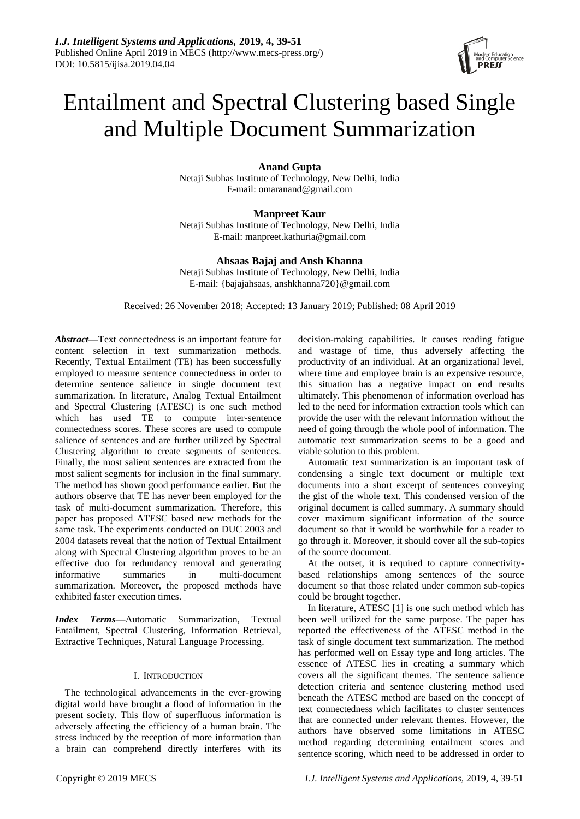# Entailment and Spectral Clustering based Single and Multiple Document Summarization

# **Anand Gupta**

Netaji Subhas Institute of Technology, New Delhi, India E-mail: omaranand@gmail.com

# **Manpreet Kaur**

Netaji Subhas Institute of Technology, New Delhi, India E-mail: manpreet.kathuria@gmail.com

# **Ahsaas Bajaj and Ansh Khanna**

Netaji Subhas Institute of Technology, New Delhi, India E-mail: {bajajahsaas, anshkhanna720}@gmail.com

Received: 26 November 2018; Accepted: 13 January 2019; Published: 08 April 2019

*Abstract***—**Text connectedness is an important feature for content selection in text summarization methods. Recently, Textual Entailment (TE) has been successfully employed to measure sentence connectedness in order to determine sentence salience in single document text summarization. In literature, Analog Textual Entailment and Spectral Clustering (ATESC) is one such method which has used TE to compute inter-sentence connectedness scores. These scores are used to compute salience of sentences and are further utilized by Spectral Clustering algorithm to create segments of sentences. Finally, the most salient sentences are extracted from the most salient segments for inclusion in the final summary. The method has shown good performance earlier. But the authors observe that TE has never been employed for the task of multi-document summarization. Therefore, this paper has proposed ATESC based new methods for the same task. The experiments conducted on DUC 2003 and 2004 datasets reveal that the notion of Textual Entailment along with Spectral Clustering algorithm proves to be an effective duo for redundancy removal and generating informative summaries in multi-document summarization. Moreover, the proposed methods have exhibited faster execution times.

*Index Terms***—**Automatic Summarization, Textual Entailment, Spectral Clustering, Information Retrieval, Extractive Techniques, Natural Language Processing.

# I. INTRODUCTION

The technological advancements in the ever-growing digital world have brought a flood of information in the present society. This flow of superfluous information is adversely affecting the efficiency of a human brain. The stress induced by the reception of more information than a brain can comprehend directly interferes with its decision-making capabilities. It causes reading fatigue and wastage of time, thus adversely affecting the productivity of an individual. At an organizational level, where time and employee brain is an expensive resource, this situation has a negative impact on end results ultimately. This phenomenon of information overload has led to the need for information extraction tools which can provide the user with the relevant information without the need of going through the whole pool of information. The automatic text summarization seems to be a good and viable solution to this problem.

Automatic text summarization is an important task of condensing a single text document or multiple text documents into a short excerpt of sentences conveying the gist of the whole text. This condensed version of the original document is called summary. A summary should cover maximum significant information of the source document so that it would be worthwhile for a reader to go through it. Moreover, it should cover all the sub-topics of the source document.

At the outset, it is required to capture connectivitybased relationships among sentences of the source document so that those related under common sub-topics could be brought together.

In literature, ATESC [1] is one such method which has been well utilized for the same purpose. The paper has reported the effectiveness of the ATESC method in the task of single document text summarization. The method has performed well on Essay type and long articles. The essence of ATESC lies in creating a summary which covers all the significant themes. The sentence salience detection criteria and sentence clustering method used beneath the ATESC method are based on the concept of text connectedness which facilitates to cluster sentences that are connected under relevant themes. However, the authors have observed some limitations in ATESC method regarding determining entailment scores and sentence scoring, which need to be addressed in order to

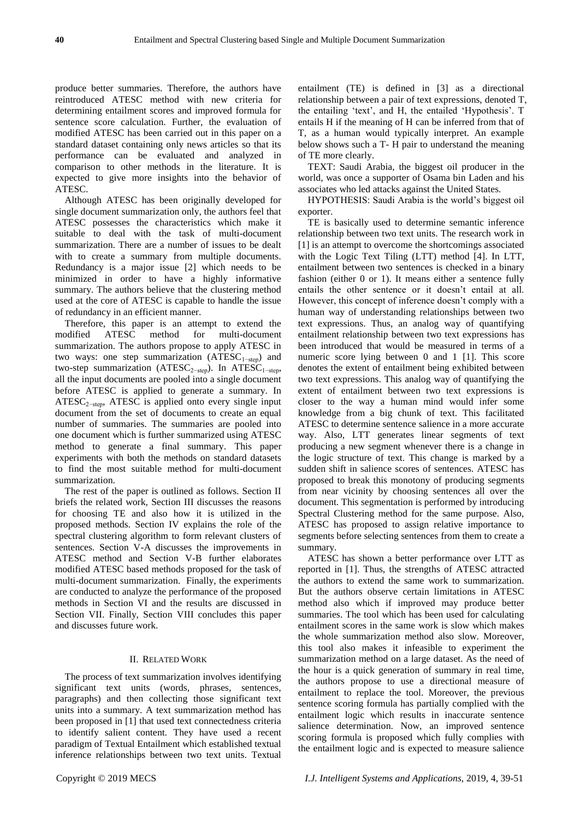produce better summaries. Therefore, the authors have reintroduced ATESC method with new criteria for determining entailment scores and improved formula for sentence score calculation. Further, the evaluation of modified ATESC has been carried out in this paper on a standard dataset containing only news articles so that its performance can be evaluated and analyzed in comparison to other methods in the literature. It is expected to give more insights into the behavior of ATESC.

Although ATESC has been originally developed for single document summarization only, the authors feel that ATESC possesses the characteristics which make it suitable to deal with the task of multi-document summarization. There are a number of issues to be dealt with to create a summary from multiple documents. Redundancy is a major issue [2] which needs to be minimized in order to have a highly informative summary. The authors believe that the clustering method used at the core of ATESC is capable to handle the issue of redundancy in an efficient manner.

Therefore, this paper is an attempt to extend the modified ATESC method for multi-document summarization. The authors propose to apply ATESC in two ways: one step summarization  $(ATESC<sub>1</sub>−step)$  and two-step summarization (ATESC<sub>2-step</sub>). In ATESC<sub>1-step</sub>, all the input documents are pooled into a single document before ATESC is applied to generate a summary. In ATESC<sub>2−step</sub>, ATESC is applied onto every single input document from the set of documents to create an equal number of summaries. The summaries are pooled into one document which is further summarized using ATESC method to generate a final summary. This paper experiments with both the methods on standard datasets to find the most suitable method for multi-document summarization.

The rest of the paper is outlined as follows. Section II briefs the related work, Section III discusses the reasons for choosing TE and also how it is utilized in the proposed methods. Section IV explains the role of the spectral clustering algorithm to form relevant clusters of sentences. Section V-A discusses the improvements in ATESC method and Section V-B further elaborates modified ATESC based methods proposed for the task of multi-document summarization. Finally, the experiments are conducted to analyze the performance of the proposed methods in Section VI and the results are discussed in Section VII. Finally, Section VIII concludes this paper and discusses future work.

# II. RELATED WORK

The process of text summarization involves identifying significant text units (words, phrases, sentences, paragraphs) and then collecting those significant text units into a summary. A text summarization method has been proposed in [1] that used text connectedness criteria to identify salient content. They have used a recent paradigm of Textual Entailment which established textual inference relationships between two text units. Textual

entailment (TE) is defined in [3] as a directional relationship between a pair of text expressions, denoted T, the entailing 'text', and H, the entailed 'Hypothesis'. T entails H if the meaning of H can be inferred from that of T, as a human would typically interpret. An example below shows such a T- H pair to understand the meaning of TE more clearly.

TEXT: Saudi Arabia, the biggest oil producer in the world, was once a supporter of Osama bin Laden and his associates who led attacks against the United States.

HYPOTHESIS: Saudi Arabia is the world"s biggest oil exporter.

TE is basically used to determine semantic inference relationship between two text units. The research work in [1] is an attempt to overcome the shortcomings associated with the Logic Text Tiling (LTT) method [4]. In LTT, entailment between two sentences is checked in a binary fashion (either 0 or 1). It means either a sentence fully entails the other sentence or it doesn"t entail at all. However, this concept of inference doesn"t comply with a human way of understanding relationships between two text expressions. Thus, an analog way of quantifying entailment relationship between two text expressions has been introduced that would be measured in terms of a numeric score lying between 0 and 1 [1]. This score denotes the extent of entailment being exhibited between two text expressions. This analog way of quantifying the extent of entailment between two text expressions is closer to the way a human mind would infer some knowledge from a big chunk of text. This facilitated ATESC to determine sentence salience in a more accurate way. Also, LTT generates linear segments of text producing a new segment whenever there is a change in the logic structure of text. This change is marked by a sudden shift in salience scores of sentences. ATESC has proposed to break this monotony of producing segments from near vicinity by choosing sentences all over the document. This segmentation is performed by introducing Spectral Clustering method for the same purpose. Also, ATESC has proposed to assign relative importance to segments before selecting sentences from them to create a summary.

ATESC has shown a better performance over LTT as reported in [1]. Thus, the strengths of ATESC attracted the authors to extend the same work to summarization. But the authors observe certain limitations in ATESC method also which if improved may produce better summaries. The tool which has been used for calculating entailment scores in the same work is slow which makes the whole summarization method also slow. Moreover, this tool also makes it infeasible to experiment the summarization method on a large dataset. As the need of the hour is a quick generation of summary in real time, the authors propose to use a directional measure of entailment to replace the tool. Moreover, the previous sentence scoring formula has partially complied with the entailment logic which results in inaccurate sentence salience determination. Now, an improved sentence scoring formula is proposed which fully complies with the entailment logic and is expected to measure salience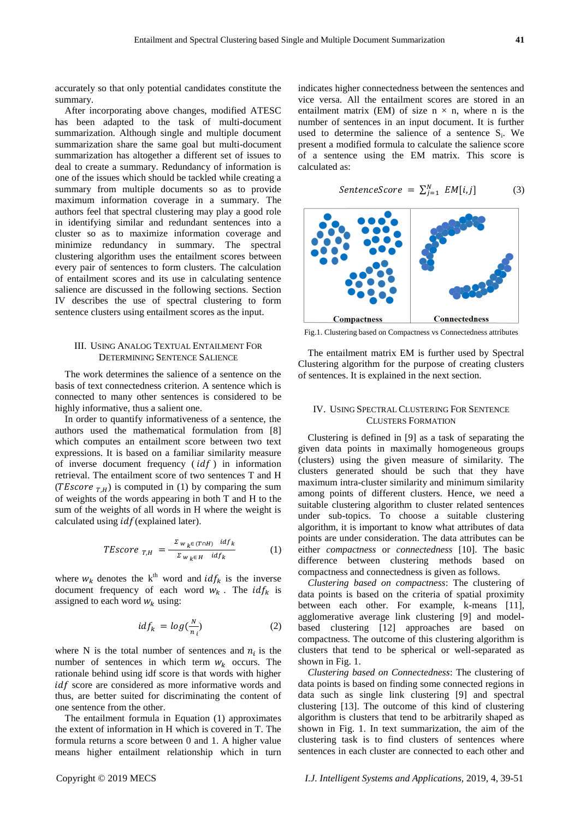accurately so that only potential candidates constitute the summary.

After incorporating above changes, modified ATESC has been adapted to the task of multi-document summarization. Although single and multiple document summarization share the same goal but multi-document summarization has altogether a different set of issues to deal to create a summary. Redundancy of information is one of the issues which should be tackled while creating a summary from multiple documents so as to provide maximum information coverage in a summary. The authors feel that spectral clustering may play a good role in identifying similar and redundant sentences into a cluster so as to maximize information coverage and minimize redundancy in summary. The spectral clustering algorithm uses the entailment scores between every pair of sentences to form clusters. The calculation of entailment scores and its use in calculating sentence salience are discussed in the following sections. Section IV describes the use of spectral clustering to form sentence clusters using entailment scores as the input.

## III. USING ANALOG TEXTUAL ENTAILMENT FOR DETERMINING SENTENCE SALIENCE

The work determines the salience of a sentence on the basis of text connectedness criterion. A sentence which is connected to many other sentences is considered to be highly informative, thus a salient one.

In order to quantify informativeness of a sentence, the authors used the mathematical formulation from [8] which computes an entailment score between two text expressions. It is based on a familiar similarity measure of inverse document frequency  $(idf)$  in information retrieval. The entailment score of two sentences T and H (*TEscore*  $_{T,H}$ ) is computed in (1) by comparing the sum of weights of the words appearing in both T and H to the sum of the weights of all words in H where the weight is calculated using  $idf$  (explained later).

$$
TEscore_{T,H} = \frac{z_{w_k \in (T \cap H)} \text{ id}_{f_k}}{z_{w_k \in H} \text{ id}_{f_k}} \tag{1}
$$

where  $w_k$  denotes the k<sup>th</sup> word and  $idf_k$  is the inverse document frequency of each word  $w_k$ . The  $idf_k$  is assigned to each word  $w_k$  using:

$$
idf_k = log(\frac{N}{n_i})
$$
 (2)

where N is the total number of sentences and  $n_i$  is the number of sentences in which term  $w_k$  occurs. The rationale behind using idf score is that words with higher  $idf$  score are considered as more informative words and thus, are better suited for discriminating the content of one sentence from the other.

The entailment formula in Equation (1) approximates the extent of information in H which is covered in T. The formula returns a score between 0 and 1. A higher value means higher entailment relationship which in turn indicates higher connectedness between the sentences and vice versa. All the entailment scores are stored in an entailment matrix (EM) of size  $n \times n$ , where n is the number of sentences in an input document. It is further used to determine the salience of a sentence  $S_i$ . We present a modified formula to calculate the salience score of a sentence using the EM matrix. This score is calculated as:

$$
SentenceScore = \sum_{j=1}^{N} EM[i,j]
$$
 (3)



Fig.1. Clustering based on Compactness vs Connectedness attributes

The entailment matrix EM is further used by Spectral Clustering algorithm for the purpose of creating clusters of sentences. It is explained in the next section.

#### IV. USING SPECTRAL CLUSTERING FOR SENTENCE CLUSTERS FORMATION

Clustering is defined in [9] as a task of separating the given data points in maximally homogeneous groups (clusters) using the given measure of similarity. The clusters generated should be such that they have maximum intra-cluster similarity and minimum similarity among points of different clusters. Hence, we need a suitable clustering algorithm to cluster related sentences under sub-topics. To choose a suitable clustering algorithm, it is important to know what attributes of data points are under consideration. The data attributes can be either *compactness* or *connectedness* [10]. The basic difference between clustering methods based on compactness and connectedness is given as follows.

*Clustering based on compactness*: The clustering of data points is based on the criteria of spatial proximity between each other. For example, k-means [11], agglomerative average link clustering [9] and modelbased clustering [12] approaches are based on compactness. The outcome of this clustering algorithm is clusters that tend to be spherical or well-separated as shown in Fig. 1.

*Clustering based on Connectedness*: The clustering of data points is based on finding some connected regions in data such as single link clustering [9] and spectral clustering [13]. The outcome of this kind of clustering algorithm is clusters that tend to be arbitrarily shaped as shown in Fig. 1. In text summarization, the aim of the clustering task is to find clusters of sentences where sentences in each cluster are connected to each other and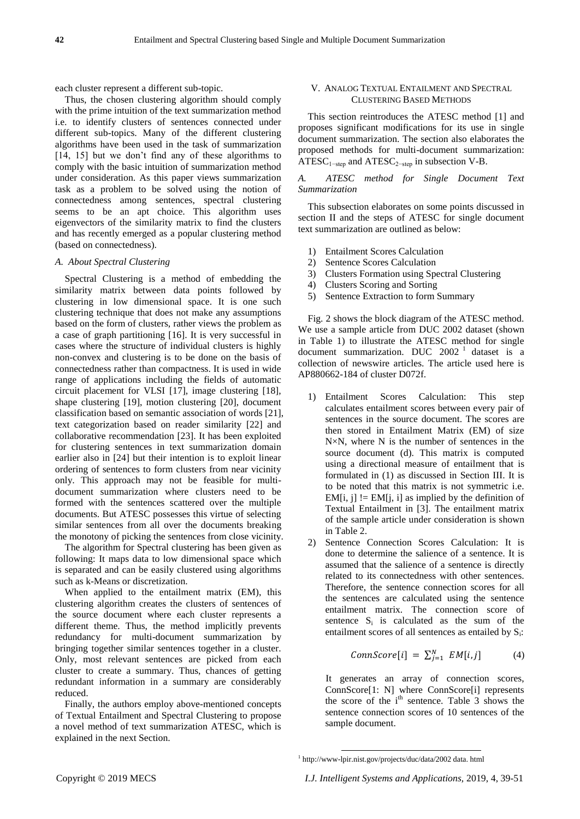each cluster represent a different sub-topic.

Thus, the chosen clustering algorithm should comply with the prime intuition of the text summarization method i.e. to identify clusters of sentences connected under different sub-topics. Many of the different clustering algorithms have been used in the task of summarization [14, 15] but we don"t find any of these algorithms to comply with the basic intuition of summarization method under consideration. As this paper views summarization task as a problem to be solved using the notion of connectedness among sentences, spectral clustering seems to be an apt choice. This algorithm uses eigenvectors of the similarity matrix to find the clusters and has recently emerged as a popular clustering method (based on connectedness).

## *A. About Spectral Clustering*

Spectral Clustering is a method of embedding the similarity matrix between data points followed by clustering in low dimensional space. It is one such clustering technique that does not make any assumptions based on the form of clusters, rather views the problem as a case of graph partitioning [16]. It is very successful in cases where the structure of individual clusters is highly non-convex and clustering is to be done on the basis of connectedness rather than compactness. It is used in wide range of applications including the fields of automatic circuit placement for VLSI [17], image clustering [18], shape clustering [19], motion clustering [20], document classification based on semantic association of words [21], text categorization based on reader similarity [22] and collaborative recommendation [23]. It has been exploited for clustering sentences in text summarization domain earlier also in [24] but their intention is to exploit linear ordering of sentences to form clusters from near vicinity only. This approach may not be feasible for multidocument summarization where clusters need to be formed with the sentences scattered over the multiple documents. But ATESC possesses this virtue of selecting similar sentences from all over the documents breaking the monotony of picking the sentences from close vicinity.

The algorithm for Spectral clustering has been given as following: It maps data to low dimensional space which is separated and can be easily clustered using algorithms such as k-Means or discretization.

When applied to the entailment matrix (EM), this clustering algorithm creates the clusters of sentences of the source document where each cluster represents a different theme. Thus, the method implicitly prevents redundancy for multi-document summarization by bringing together similar sentences together in a cluster. Only, most relevant sentences are picked from each cluster to create a summary. Thus, chances of getting redundant information in a summary are considerably reduced.

Finally, the authors employ above-mentioned concepts of Textual Entailment and Spectral Clustering to propose a novel method of text summarization ATESC, which is explained in the next Section.

## V. ANALOG TEXTUAL ENTAILMENT AND SPECTRAL CLUSTERING BASED METHODS

This section reintroduces the ATESC method [1] and proposes significant modifications for its use in single document summarization. The section also elaborates the proposed methods for multi-document summarization: ATESC<sub>1−step</sub> and ATESC<sub>2−step</sub> in subsection V-B.

*A. ATESC method for Single Document Text Summarization*

This subsection elaborates on some points discussed in section II and the steps of ATESC for single document text summarization are outlined as below:

- 1) Entailment Scores Calculation
- 2) Sentence Scores Calculation
- 3) Clusters Formation using Spectral Clustering
- 4) Clusters Scoring and Sorting
- 5) Sentence Extraction to form Summary

Fig. 2 shows the block diagram of the ATESC method. We use a sample article from DUC 2002 dataset (shown in Table 1) to illustrate the ATESC method for single document summarization. DUC  $2002<sup>1</sup>$  dataset is a collection of newswire articles. The article used here is AP880662-184 of cluster D072f.

- 1) Entailment Scores Calculation: This step calculates entailment scores between every pair of sentences in the source document. The scores are then stored in Entailment Matrix (EM) of size N ×N, where N is the number of sentences in the source document (d). This matrix is computed using a directional measure of entailment that is formulated in (1) as discussed in Section III. It is to be noted that this matrix is not symmetric i.e. EM $[i, j]$  != EM $[i, i]$  as implied by the definition of Textual Entailment in [3]. The entailment matrix of the sample article under consideration is shown in Table 2.
- 2) Sentence Connection Scores Calculation: It is done to determine the salience of a sentence. It is assumed that the salience of a sentence is directly related to its connectedness with other sentences. Therefore, the sentence connection scores for all the sentences are calculated using the sentence entailment matrix. The connection score of sentence  $S_i$  is calculated as the sum of the entailment scores of all sentences as entailed by S<sub>i</sub>:

$$
ConnScore[i] = \sum_{j=1}^{N} EM[i,j] \quad (4)
$$

It generates an array of connection scores, ConnScore[1: N] where ConnScore[i] represents the score of the i<sup>th</sup> sentence. Table 3 shows the sentence connection scores of 10 sentences of the sample document.

1

<sup>1</sup> http://www-lpir.nist.gov/projects/duc/data/2002 data. html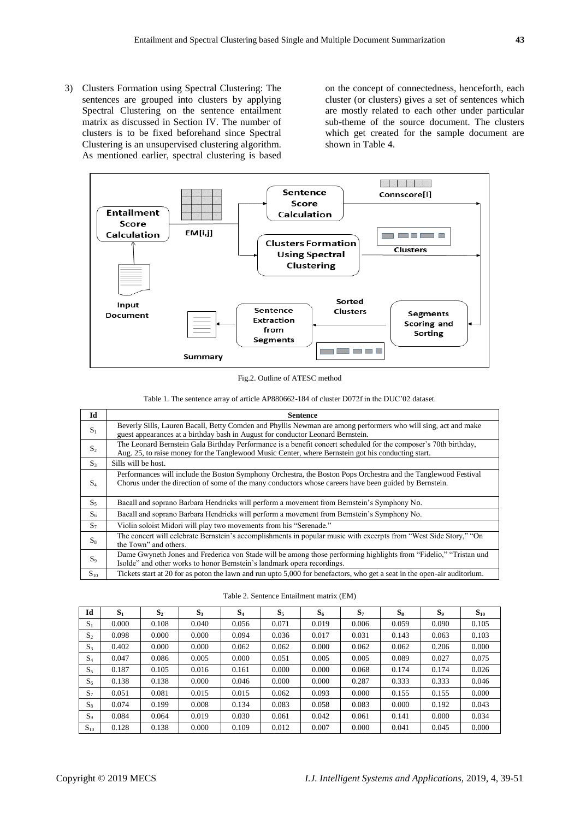3) Clusters Formation using Spectral Clustering: The sentences are grouped into clusters by applying Spectral Clustering on the sentence entailment matrix as discussed in Section IV. The number of clusters is to be fixed beforehand since Spectral Clustering is an unsupervised clustering algorithm. As mentioned earlier, spectral clustering is based on the concept of connectedness, henceforth, each cluster (or clusters) gives a set of sentences which are mostly related to each other under particular sub-theme of the source document. The clusters which get created for the sample document are shown in Table 4.



Fig.2. Outline of ATESC method

|  | Table 1. The sentence array of article AP880662-184 of cluster D072f in the DUC'02 dataset. |  |  |  |  |  |  |  |  |
|--|---------------------------------------------------------------------------------------------|--|--|--|--|--|--|--|--|
|--|---------------------------------------------------------------------------------------------|--|--|--|--|--|--|--|--|

| Id             | <b>Sentence</b>                                                                                                                                                                                                          |
|----------------|--------------------------------------------------------------------------------------------------------------------------------------------------------------------------------------------------------------------------|
| $S_1$          | Beverly Sills, Lauren Bacall, Betty Comden and Phyllis Newman are among performers who will sing, act and make<br>guest appearances at a birthday bash in August for conductor Leonard Bernstein.                        |
| $S_2$          | The Leonard Bernstein Gala Birthday Performance is a benefit concert scheduled for the composer's 70th birthday,<br>Aug. 25, to raise money for the Tanglewood Music Center, where Bernstein got his conducting start.   |
| S <sub>3</sub> | Sills will be host.                                                                                                                                                                                                      |
| $S_4$          | Performances will include the Boston Symphony Orchestra, the Boston Pops Orchestra and the Tanglewood Festival<br>Chorus under the direction of some of the many conductors whose careers have been guided by Bernstein. |
| $S_5$          | Bacall and soprano Barbara Hendricks will perform a movement from Bernstein's Symphony No.                                                                                                                               |
| $S_6$          | Bacall and soprano Barbara Hendricks will perform a movement from Bernstein's Symphony No.                                                                                                                               |
| $S_7$          | Violin soloist Midori will play two movements from his "Serenade."                                                                                                                                                       |
| $S_8$          | The concert will celebrate Bernstein's accomplishments in popular music with excerpts from "West Side Story," "On<br>the Town" and others.                                                                               |
| $S_9$          | Dame Gwyneth Jones and Frederica von Stade will be among those performing highlights from "Fidelio," "Tristan und<br>Isolde" and other works to honor Bernstein's landmark opera recordings.                             |
| $S_{10}$       | Tickets start at 20 for as poton the lawn and run upto 5,000 for benefactors, who get a seat in the open-air auditorium.                                                                                                 |

|  |  |  | Table 2. Sentence Entailment matrix (EM) |  |  |  |
|--|--|--|------------------------------------------|--|--|--|
|--|--|--|------------------------------------------|--|--|--|

| Id             | $S_1$ | S <sub>2</sub> | $S_3$ | S <sub>4</sub> | $S_5$ | $S_6$ | $S_7$ | $S_8$ | $S_9$ | $S_{10}$ |
|----------------|-------|----------------|-------|----------------|-------|-------|-------|-------|-------|----------|
| $S_1$          | 0.000 | 0.108          | 0.040 | 0.056          | 0.071 | 0.019 | 0.006 | 0.059 | 0.090 | 0.105    |
| S <sub>2</sub> | 0.098 | 0.000          | 0.000 | 0.094          | 0.036 | 0.017 | 0.031 | 0.143 | 0.063 | 0.103    |
| $S_3$          | 0.402 | 0.000          | 0.000 | 0.062          | 0.062 | 0.000 | 0.062 | 0.062 | 0.206 | 0.000    |
| S <sub>4</sub> | 0.047 | 0.086          | 0.005 | 0.000          | 0.051 | 0.005 | 0.005 | 0.089 | 0.027 | 0.075    |
| $S_5$          | 0.187 | 0.105          | 0.016 | 0.161          | 0.000 | 0.000 | 0.068 | 0.174 | 0.174 | 0.026    |
| $S_6$          | 0.138 | 0.138          | 0.000 | 0.046          | 0.000 | 0.000 | 0.287 | 0.333 | 0.333 | 0.046    |
| $S_7$          | 0.051 | 0.081          | 0.015 | 0.015          | 0.062 | 0.093 | 0.000 | 0.155 | 0.155 | 0.000    |
| $S_8$          | 0.074 | 0.199          | 0.008 | 0.134          | 0.083 | 0.058 | 0.083 | 0.000 | 0.192 | 0.043    |
| $S_9$          | 0.084 | 0.064          | 0.019 | 0.030          | 0.061 | 0.042 | 0.061 | 0.141 | 0.000 | 0.034    |
| $S_{10}$       | 0.128 | 0.138          | 0.000 | 0.109          | 0.012 | 0.007 | 0.000 | 0.041 | 0.045 | 0.000    |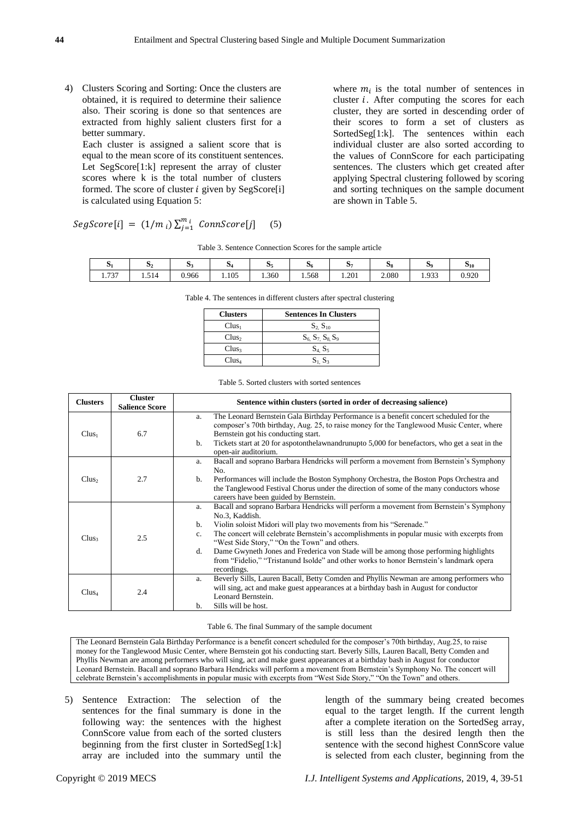4) Clusters Scoring and Sorting: Once the clusters are obtained, it is required to determine their salience also. Their scoring is done so that sentences are extracted from highly salient clusters first for a better summary.

Each cluster is assigned a salient score that is equal to the mean score of its constituent sentences. Let SegScore[1:k] represent the array of cluster scores where k is the total number of clusters formed. The score of cluster  $i$  given by SegScore[i] is calculated using Equation 5:

 $SegScore[i] = (1/m_i)\sum_{i=1}^{m}$  $\int_{j=1}^{m_i}$  ConnScore[j] (5)

where  $m_i$  is the total number of sentences in cluster  $i$ . After computing the scores for each cluster, they are sorted in descending order of their scores to form a set of clusters as SortedSeg[1:k]. The sentences within each individual cluster are also sorted according to the values of ConnScore for each participating sentences. The clusters which get created after applying Spectral clustering followed by scoring and sorting techniques on the sample document are shown in Table 5.

| νı                      | 12    | $\sim$<br>93 | -<br>$\mathcal{D}^{\mathcal{J}}$ | O<br>55 | 06    | Ю.    | Э8    | 59           | $\tilde{\phantom{a}}$<br>$\mathbf{D}_{10}$ |
|-------------------------|-------|--------------|----------------------------------|---------|-------|-------|-------|--------------|--------------------------------------------|
| $\overline{a}$<br>1.131 | 1.514 | 0.966        | 1.105                            | 1.360   | 1.568 | 1.201 | 2.080 | 033<br>1.733 | 0.920                                      |

|        | $\mathbf{D}_{\mathbf{A}}$ | D3    | $\sim$<br>$\mathbf{D}$ 4 | - 135 | 56    | Ю7    | 38    | 79           | $\sim$<br>O1 |
|--------|---------------------------|-------|--------------------------|-------|-------|-------|-------|--------------|--------------|
| $\sim$ | 1.514                     | 0.966 | 1.105                    | 1.360 | 1.568 | 1.201 | 2.080 | 033<br>1.733 | ηQ<br>U.Z    |

Table 3. Sentence Connection Scores for the sample article

Table 4. The sentences in different clusters after spectral clustering

| <b>Clusters</b>   | <b>Sentences In Clusters</b>  |
|-------------------|-------------------------------|
| $Clus_1$          | $S_2 S_{10}$                  |
| Clus <sub>2</sub> | $S_6$ , $S_7$ , $S_8$ , $S_9$ |
| Clus <sub>3</sub> | $S_4, S_5$                    |
| Clus <sub>4</sub> | $S_1$ , $S_3$                 |

Table 5. Sorted clusters with sorted sentences

| <b>Clusters</b>   | <b>Cluster</b><br><b>Salience Score</b> | Sentence within clusters (sorted in order of decreasing salience)                                                                                                                                                                                                                                                                                                                                                                                                                                                                                      |
|-------------------|-----------------------------------------|--------------------------------------------------------------------------------------------------------------------------------------------------------------------------------------------------------------------------------------------------------------------------------------------------------------------------------------------------------------------------------------------------------------------------------------------------------------------------------------------------------------------------------------------------------|
| $Clus_1$          | 6.7                                     | The Leonard Bernstein Gala Birthday Performance is a benefit concert scheduled for the<br>a.<br>composer's 70th birthday, Aug. 25, to raise money for the Tanglewood Music Center, where<br>Bernstein got his conducting start.<br>Tickets start at 20 for aspotonthelawnandrunup to 5,000 for benefactors, who get a seat in the<br>b.<br>open-air auditorium.                                                                                                                                                                                        |
| Clus <sub>2</sub> | 2.7                                     | Bacall and soprano Barbara Hendricks will perform a movement from Bernstein's Symphony<br>a.<br>No.<br>Performances will include the Boston Symphony Orchestra, the Boston Pops Orchestra and<br>b.<br>the Tanglewood Festival Chorus under the direction of some of the many conductors whose<br>careers have been guided by Bernstein.                                                                                                                                                                                                               |
| Clus <sub>3</sub> | 2.5                                     | Bacall and soprano Barbara Hendricks will perform a movement from Bernstein's Symphony<br>a.<br>No.3, Kaddish.<br>Violin soloist Midori will play two movements from his "Serenade."<br>b.<br>The concert will celebrate Bernstein's accomplishments in popular music with excerpts from<br>c.<br>"West Side Story," "On the Town" and others.<br>Dame Gwyneth Jones and Frederica von Stade will be among those performing highlights<br>d.<br>from "Fidelio," "Tristanund Isolde" and other works to honor Bernstein's landmark opera<br>recordings. |
| Clus <sub>4</sub> | 2.4                                     | Beverly Sills, Lauren Bacall, Betty Comden and Phyllis Newman are among performers who<br>a.<br>will sing, act and make guest appearances at a birthday bash in August for conductor<br>Leonard Bernstein.<br>Sills will be host.<br>$\mathbf b$ .                                                                                                                                                                                                                                                                                                     |

Table 6. The final Summary of the sample document

The Leonard Bernstein Gala Birthday Performance is a benefit concert scheduled for the composer's 70th birthday, Aug.25, to raise money for the Tanglewood Music Center, where Bernstein got his conducting start. Beverly Sills, Lauren Bacall, Betty Comden and Phyllis Newman are among performers who will sing, act and make guest appearances at a birthday bash in August for conductor Leonard Bernstein. Bacall and soprano Barbara Hendricks will perform a movement from Bernstein"s Symphony No. The concert will celebrate Bernstein"s accomplishments in popular music with excerpts from "West Side Story," "On the Town" and others.

5) Sentence Extraction: The selection of the sentences for the final summary is done in the following way: the sentences with the highest ConnScore value from each of the sorted clusters beginning from the first cluster in SortedSeg[1:k] array are included into the summary until the

length of the summary being created becomes equal to the target length. If the current length after a complete iteration on the SortedSeg array, is still less than the desired length then the sentence with the second highest ConnScore value is selected from each cluster, beginning from the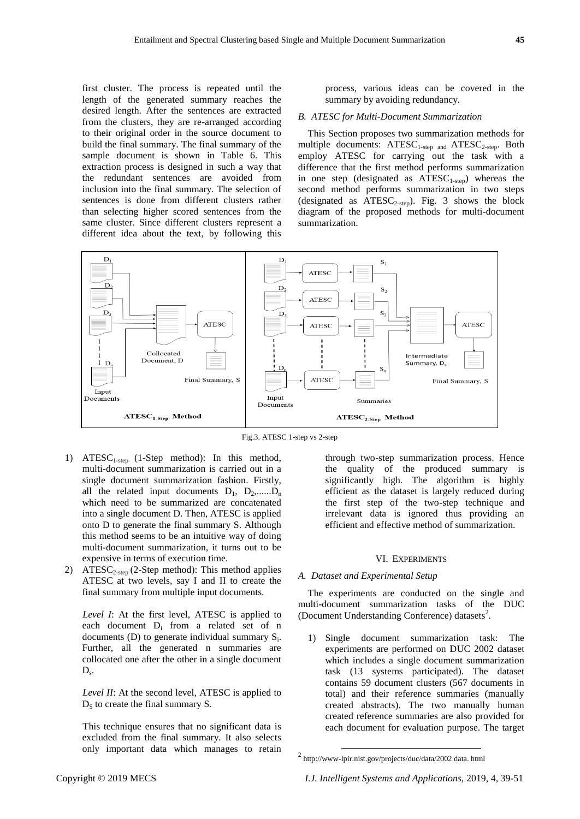first cluster. The process is repeated until the length of the generated summary reaches the desired length. After the sentences are extracted from the clusters, they are re-arranged according to their original order in the source document to build the final summary. The final summary of the sample document is shown in Table 6. This extraction process is designed in such a way that the redundant sentences are avoided from inclusion into the final summary. The selection of sentences is done from different clusters rather than selecting higher scored sentences from the same cluster. Since different clusters represent a different idea about the text, by following this

process, various ideas can be covered in the summary by avoiding redundancy.

#### *B. ATESC for Multi-Document Summarization*

This Section proposes two summarization methods for multiple documents:  $ATESC_{1-step}$  and  $ATESC_{2-step}$ . Both employ ATESC for carrying out the task with a difference that the first method performs summarization in one step (designated as  $ATESC_{1-step}$ ) whereas the second method performs summarization in two steps (designated as  $ATESC_{2-step}$ ). Fig. 3 shows the block diagram of the proposed methods for multi-document summarization.



Fig.3. ATESC 1-step vs 2-step

- 1) ATESC<sub>1-step</sub> (1-Step method): In this method, multi-document summarization is carried out in a single document summarization fashion. Firstly, all the related input documents  $D_1$ ,  $D_2$ ,...... $D_n$ which need to be summarized are concatenated into a single document D. Then, ATESC is applied onto D to generate the final summary S. Although this method seems to be an intuitive way of doing multi-document summarization, it turns out to be expensive in terms of execution time.
- 2) ATESC<sub>2-step</sub> (2-Step method): This method applies ATESC at two levels, say I and II to create the final summary from multiple input documents.

*Level I*: At the first level, ATESC is applied to each document D<sup>i</sup> from a related set of n documents (D) to generate individual summary  $S_i$ . Further, all the generated n summaries are collocated one after the other in a single document  $D_{s}$ .

*Level II*: At the second level, ATESC is applied to  $D<sub>S</sub>$  to create the final summary S.

This technique ensures that no significant data is excluded from the final summary. It also selects only important data which manages to retain through two-step summarization process. Hence the quality of the produced summary is significantly high. The algorithm is highly efficient as the dataset is largely reduced during the first step of the two-step technique and irrelevant data is ignored thus providing an efficient and effective method of summarization.

#### VI. EXPERIMENTS

#### *A. Dataset and Experimental Setup*

The experiments are conducted on the single and multi-document summarization tasks of the DUC (Document Understanding Conference) datasets<sup>2</sup>.

1) Single document summarization task: The experiments are performed on DUC 2002 dataset which includes a single document summarization task (13 systems participated). The dataset contains 59 document clusters (567 documents in total) and their reference summaries (manually created abstracts). The two manually human created reference summaries are also provided for each document for evaluation purpose. The target

1

 $2 \text{ http://www-lpir.nist.gov/projects/duc/data/2002 data}$ . http://www-lpir.nist.gov/projects/duc/data/2002 data. html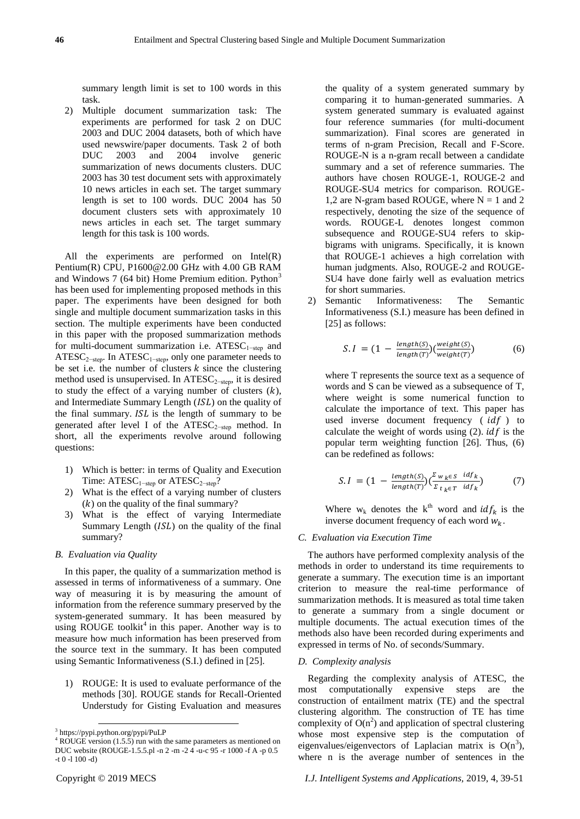summary length limit is set to 100 words in this task.

2) Multiple document summarization task: The experiments are performed for task 2 on DUC 2003 and DUC 2004 datasets, both of which have used newswire/paper documents. Task 2 of both DUC 2003 and 2004 involve generic summarization of news documents clusters. DUC 2003 has 30 test document sets with approximately 10 news articles in each set. The target summary length is set to 100 words. DUC 2004 has 50 document clusters sets with approximately 10 news articles in each set. The target summary length for this task is 100 words.

All the experiments are performed on Intel(R) Pentium(R) CPU, P1600@2.00 GHz with 4.00 GB RAM and Windows 7 (64 bit) Home Premium edition. Python<sup>3</sup> has been used for implementing proposed methods in this paper. The experiments have been designed for both single and multiple document summarization tasks in this section. The multiple experiments have been conducted in this paper with the proposed summarization methods for multi-document summarization i.e.  $ATESC<sub>1-step</sub>$  and ATESC<sub>2−step</sub>. In ATESC<sub>1−step</sub>, only one parameter needs to be set i.e. the number of clusters  $k$  since the clustering method used is unsupervised. In ATESC<sub>2-step</sub>, it is desired to study the effect of a varying number of clusters  $(k)$ , and Intermediate Summary Length  $(ISL)$  on the quality of the final summary.  $ISL$  is the length of summary to be generated after level I of the ATESC<sub>2-step</sub> method. In short, all the experiments revolve around following questions:

- 1) Which is better: in terms of Quality and Execution Time: ATESC<sub>1−step</sub> or ATESC<sub>2−step</sub>?
- 2) What is the effect of a varying number of clusters  $(k)$  on the quality of the final summary?
- 3) What is the effect of varying Intermediate Summary Length  $( ISL)$  on the quality of the final summary?

## *B. Evaluation via Quality*

In this paper, the quality of a summarization method is assessed in terms of informativeness of a summary. One way of measuring it is by measuring the amount of information from the reference summary preserved by the system-generated summary. It has been measured by using ROUGE toolkit<sup>4</sup> in this paper. Another way is to measure how much information has been preserved from the source text in the summary. It has been computed using Semantic Informativeness (S.I.) defined in [25].

1) ROUGE: It is used to evaluate performance of the methods [30]. ROUGE stands for Recall-Oriented Understudy for Gisting Evaluation and measures

-

the quality of a system generated summary by comparing it to human-generated summaries. A system generated summary is evaluated against four reference summaries (for multi-document summarization). Final scores are generated in terms of n-gram Precision, Recall and F-Score. ROUGE-N is a n-gram recall between a candidate summary and a set of reference summaries. The authors have chosen ROUGE-1, ROUGE-2 and ROUGE-SU4 metrics for comparison. ROUGE-1,2 are N-gram based ROUGE, where  $N = 1$  and 2 respectively, denoting the size of the sequence of words. ROUGE-L denotes longest common subsequence and ROUGE-SU4 refers to skipbigrams with unigrams. Specifically, it is known that ROUGE-1 achieves a high correlation with human judgments. Also, ROUGE-2 and ROUGE-SU4 have done fairly well as evaluation metrics for short summaries.

2) Semantic Informativeness: The Semantic Informativeness (S.I.) measure has been defined in [25] as follows:

$$
S.I = (1 - \frac{length(S)}{length(T)}) (\frac{weight(S)}{weight(T)})
$$
(6)

where T represents the source text as a sequence of words and S can be viewed as a subsequence of T, where weight is some numerical function to calculate the importance of text. This paper has used inverse document frequency  $(idf)$  to calculate the weight of words using  $(2)$ . *idf* is the popular term weighting function [26]. Thus, (6) can be redefined as follows:

$$
S.I = (1 - \frac{length(S)}{length(T)}) (\frac{\sum_{w_k \in S} idf_k}{\sum_{t_k \in T} idf_k})
$$
(7)

Where  $w_k$  denotes the k<sup>th</sup> word and  $idf_k$  is the inverse document frequency of each word  $W_k$ .

#### *C. Evaluation via Execution Time*

The authors have performed complexity analysis of the methods in order to understand its time requirements to generate a summary. The execution time is an important criterion to measure the real-time performance of summarization methods. It is measured as total time taken to generate a summary from a single document or multiple documents. The actual execution times of the methods also have been recorded during experiments and expressed in terms of No. of seconds/Summary.

#### *D. Complexity analysis*

Regarding the complexity analysis of ATESC, the most computationally expensive steps are the construction of entailment matrix (TE) and the spectral clustering algorithm. The construction of TE has time complexity of  $O(n^2)$  and application of spectral clustering whose most expensive step is the computation of eigenvalues/eigenvectors of Laplacian matrix is  $O(n^3)$ , where n is the average number of sentences in the

<sup>3</sup> https://pypi.python.org/pypi/PuLP

 $4$  ROUGE version (1.5.5) run with the same parameters as mentioned on DUC website (ROUGE-1.5.5.pl -n 2 -m -2 4 -u-c 95 -r 1000 -f A -p 0.5 -t 0 -l 100 -d)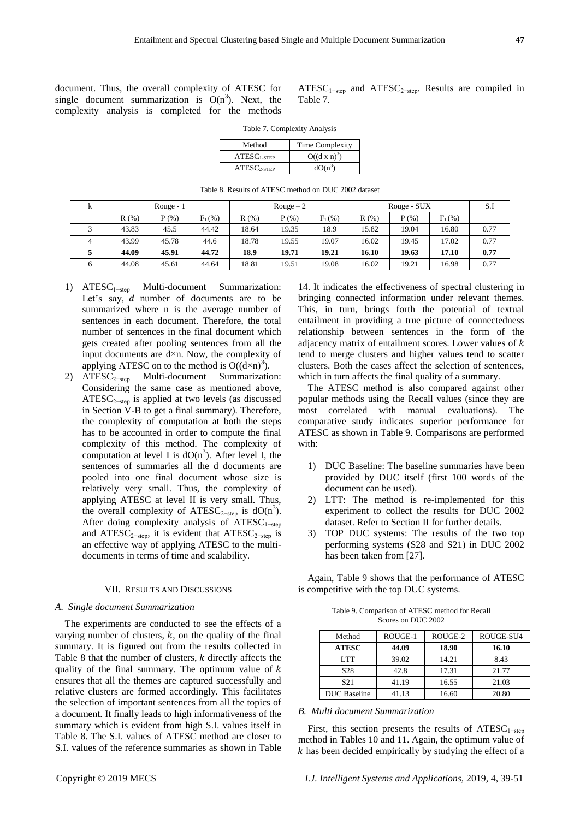document. Thus, the overall complexity of ATESC for single document summarization is  $O(n^3)$ . Next, the complexity analysis is completed for the methods

 $ATESC<sub>1-step</sub>$  and  $ATESC<sub>2-step</sub>$ . Results are compiled in Table 7.

Table 7. Complexity Analysis

| Method                                      | Time Complexity     |
|---------------------------------------------|---------------------|
| $ATESC$ <sub>1-STEP</sub>                   | $O((d \times n)^3)$ |
| $\textrm{ATESC}_{2\textrm{-}\mathrm{STEP}}$ | $dO(n^3)$           |

Table 8. Results of ATESC method on DUC 2002 dataset

| k        |         | Rouge - $1$ |           | $Rouge-2$ |         |           |       | Rouge - SUX | S.I       |      |
|----------|---------|-------------|-----------|-----------|---------|-----------|-------|-------------|-----------|------|
|          | $R(\%)$ | $P(\% )$    | $F_1$ (%) | R(% )     | $P(\%)$ | $F_1$ (%) | R(%)  | $P(\%)$     | $F_1$ (%) |      |
|          | 43.83   | 45.5        | 44.42     | 18.64     | 19.35   | 18.9      | 15.82 | 19.04       | 16.80     | 0.77 |
| $\Delta$ | 43.99   | 45.78       | 44.6      | 18.78     | 19.55   | 19.07     | 16.02 | 19.45       | 17.02     | 0.77 |
|          | 44.09   | 45.91       | 44.72     | 18.9      | 19.71   | 19.21     | 16.10 | 19.63       | 17.10     | 0.77 |
|          | 44.08   | 45.61       | 44.64     | 18.81     | 19.51   | 19.08     | 16.02 | 19.21       | 16.98     | 0.77 |

- 1) ATESC1−step Multi-document Summarization: Let's say,  $d$  number of documents are to be summarized where n is the average number of sentences in each document. Therefore, the total number of sentences in the final document which gets created after pooling sentences from all the input documents are  $d \times n$ . Now, the complexity of applying ATESC on to the method is  $O((d \times n)^3)$ .
- 2) ATESC<sub>2-step</sub> Multi-document Summarization: Considering the same case as mentioned above, ATESC2−step is applied at two levels (as discussed in Section  $V-B$  to get a final summary). Therefore, the complexity of computation at both the steps has to be accounted in order to compute the final complexity of this method. The complexity of computation at level I is  $dO(n^3)$ . After level I, the sentences of summaries all the d documents are pooled into one final document whose size is relatively very small. Thus, the complexity of applying ATESC at level II is very small. Thus, the overall complexity of ATESC<sub>2-step</sub> is  $dO(n^3)$ . After doing complexity analysis of ATESC<sub>1-step</sub> and ATESC<sub>2−step</sub>, it is evident that ATESC<sub>2−step</sub> is an effective way of applying ATESC to the multidocuments in terms of time and scalability.

#### VII. RESULTS AND DISCUSSIONS

# *A. Single document Summarization*

The experiments are conducted to see the effects of a varying number of clusters,  $k$ , on the quality of the final summary. It is figured out from the results collected in Table 8 that the number of clusters,  $k$  directly affects the quality of the final summary. The optimum value of  $k$ ensures that all the themes are captured successfully and relative clusters are formed accordingly. This facilitates the selection of important sentences from all the topics of a document. It finally leads to high informativeness of the summary which is evident from high S.I. values itself in Table 8. The S.I. values of ATESC method are closer to S.I. values of the reference summaries as shown in Table

14. It indicates the effectiveness of spectral clustering in bringing connected information under relevant themes. This, in turn, brings forth the potential of textual entailment in providing a true picture of connectedness relationship between sentences in the form of the adjacency matrix of entailment scores. Lower values of  $k$ tend to merge clusters and higher values tend to scatter clusters. Both the cases affect the selection of sentences, which in turn affects the final quality of a summary.

The ATESC method is also compared against other popular methods using the Recall values (since they are most correlated with manual evaluations). The comparative study indicates superior performance for ATESC as shown in Table 9. Comparisons are performed with:

- 1) DUC Baseline: The baseline summaries have been provided by DUC itself (first 100 words of the document can be used).
- 2) LTT: The method is re-implemented for this experiment to collect the results for DUC 2002 dataset. Refer to Section II for further details.
- 3) TOP DUC systems: The results of the two top performing systems (S28 and S21) in DUC 2002 has been taken from [27].

Again, Table 9 shows that the performance of ATESC is competitive with the top DUC systems.

Table 9. Comparison of ATESC method for Recall Scores on DUC 2002

| Method              | ROUGE-1 | ROUGE-2 | ROUGE-SU4 |
|---------------------|---------|---------|-----------|
| <b>ATESC</b>        | 44.09   | 18.90   | 16.10     |
| LTT <sub>T</sub>    | 39.02   | 14.21   | 8.43      |
| S <sub>28</sub>     | 42.8    | 17.31   | 21.77     |
| S <sub>21</sub>     | 41.19   | 16.55   | 21.03     |
| <b>DUC</b> Baseline | 41.13   | 16.60   | 20.80     |

#### *B. Multi document Summarization*

First, this section presents the results of ATESC<sub>1-step</sub> method in Tables 10 and 11. Again, the optimum value of  $k$  has been decided empirically by studying the effect of a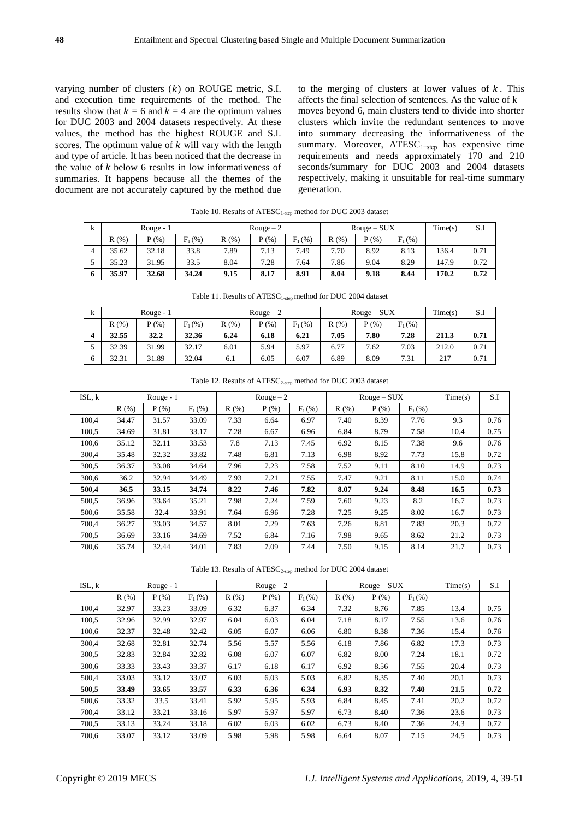varying number of clusters  $(k)$  on ROUGE metric, S.I. and execution time requirements of the method. The results show that  $k = 6$  and  $k = 4$  are the optimum values for DUC 2003 and 2004 datasets respectively. At these values, the method has the highest ROUGE and S.I. scores. The optimum value of  $k$  will vary with the length and type of article. It has been noticed that the decrease in the value of  $k$  below 6 results in low informativeness of summaries. It happens because all the themes of the document are not accurately captured by the method due to the merging of clusters at lower values of  $k$ . This affects the final selection of sentences. As the value of k moves beyond 6, main clusters tend to divide into shorter clusters which invite the redundant sentences to move into summary decreasing the informativeness of the summary. Moreover, ATESC<sub>1-step</sub> has expensive time requirements and needs approximately 170 and 210 seconds/summary for DUC 2003 and 2004 datasets respectively, making it unsuitable for real-time summary generation.

|   | .          |          |           |            |          |           |       |             |           |       |      |
|---|------------|----------|-----------|------------|----------|-----------|-------|-------------|-----------|-------|------|
| k | Rouge $-1$ |          |           | Rouge $-2$ |          |           |       | $Rouge-SUX$ | Time(s)   | S.l   |      |
|   | R(% )      | $P(\% )$ | $F_1$ (%) | R(%)       | $P(\% )$ | $F_1$ (%) | R(% ) | $P$ (%)     | $F_1$ (%) |       |      |
| 4 | 35.62      | 32.18    | 33.8      | 7.89       | 7.13     | 7.49      | 7.70  | 8.92        | 8.13      | 136.4 | 0.71 |
|   | 35.23      | 31.95    | 33.5      | 8.04       | 7.28     | 7.64      | 7.86  | 9.04        | 8.29      | 147.9 | 0.72 |
| 6 | 35.97      | 32.68    | 34.24     | 9.15       | 8.17     | 8.91      | 8.04  | 9.18        | 8.44      | 170.2 | 0.72 |

Table 10. Results of  $ATESC_{1\text{-step}}$  method for DUC 2003 dataset

|    | Table 11. Results of $\text{ATESC}_{1\text{-step}}$ method for DUC 2004 dataset |            |           |           |          |           |             |       |           |         |      |
|----|---------------------------------------------------------------------------------|------------|-----------|-----------|----------|-----------|-------------|-------|-----------|---------|------|
| k  |                                                                                 | Rouge $-1$ |           | $Rouge-2$ |          |           | $Rouge-SUX$ |       |           | Time(s) | S.I  |
|    | R(%)                                                                            | P(% )      | $F_1$ (%) | R(%)      | $P(\% )$ | $F_1$ (%) | R(% )       | P(% ) | $F_1$ (%) |         |      |
| 4  | 32.55                                                                           | 32.2       | 32.36     | 6.24      | 6.18     | 6.21      | 7.05        | 7.80  | 7.28      | 211.3   | 0.71 |
|    | 32.39                                                                           | 31.99      | 32.17     | 6.01      | 5.94     | 5.97      | 6.77        | 7.62  | 7.03      | 212.0   | 0.71 |
| -6 | 32.31                                                                           | 31.89      | 32.04     | 6.1       | 6.05     | 6.07      | 6.89        | 8.09  | 7.31      | 217     | 0.71 |

|  | Table 12. Results of $ATESC_{2\text{-step}}$ method for DUC 2003 dataset |  |  |  |
|--|--------------------------------------------------------------------------|--|--|--|
|  |                                                                          |  |  |  |

| ISL, k |       | Rouge - $1$ |           |       | $\text{Rouge} - 2$ |           |       | $Rouge-SUX$ |           | Time(s) | S.I  |
|--------|-------|-------------|-----------|-------|--------------------|-----------|-------|-------------|-----------|---------|------|
|        | R(% ) | $P$ (%)     | $F_1$ (%) | R(% ) | P(% )              | $F_1$ (%) | R(% ) | P(% )       | $F_1$ (%) |         |      |
| 100,4  | 34.47 | 31.57       | 33.09     | 7.33  | 6.64               | 6.97      | 7.40  | 8.39        | 7.76      | 9.3     | 0.76 |
| 100.5  | 34.69 | 31.81       | 33.17     | 7.28  | 6.67               | 6.96      | 6.84  | 8.79        | 7.58      | 10.4    | 0.75 |
| 100,6  | 35.12 | 32.11       | 33.53     | 7.8   | 7.13               | 7.45      | 6.92  | 8.15        | 7.38      | 9.6     | 0.76 |
| 300.4  | 35.48 | 32.32       | 33.82     | 7.48  | 6.81               | 7.13      | 6.98  | 8.92        | 7.73      | 15.8    | 0.72 |
| 300.5  | 36.37 | 33.08       | 34.64     | 7.96  | 7.23               | 7.58      | 7.52  | 9.11        | 8.10      | 14.9    | 0.73 |
| 300,6  | 36.2  | 32.94       | 34.49     | 7.93  | 7.21               | 7.55      | 7.47  | 9.21        | 8.11      | 15.0    | 0.74 |
| 500,4  | 36.5  | 33.15       | 34.74     | 8.22  | 7.46               | 7.82      | 8.07  | 9.24        | 8.48      | 16.5    | 0.73 |
| 500,5  | 36.96 | 33.64       | 35.21     | 7.98  | 7.24               | 7.59      | 7.60  | 9.23        | 8.2       | 16.7    | 0.73 |
| 500,6  | 35.58 | 32.4        | 33.91     | 7.64  | 6.96               | 7.28      | 7.25  | 9.25        | 8.02      | 16.7    | 0.73 |
| 700.4  | 36.27 | 33.03       | 34.57     | 8.01  | 7.29               | 7.63      | 7.26  | 8.81        | 7.83      | 20.3    | 0.72 |
| 700.5  | 36.69 | 33.16       | 34.69     | 7.52  | 6.84               | 7.16      | 7.98  | 9.65        | 8.62      | 21.2    | 0.73 |
| 700,6  | 35.74 | 32.44       | 34.01     | 7.83  | 7.09               | 7.44      | 7.50  | 9.15        | 8.14      | 21.7    | 0.73 |

Table 13. Results of ATESC<sub>2-step</sub> method for DUC 2004 dataset

| ISL, k |       | Rouge - $1$ |           |       | $Rouge-2$  |           |       | $Rouge-SUX$ |           | Time(s) | S.I  |
|--------|-------|-------------|-----------|-------|------------|-----------|-------|-------------|-----------|---------|------|
|        | R(% ) | $P$ (%)     | $F_1$ (%) | R(% ) | $P$ $(\%)$ | $F_1$ (%) | R(% ) | P(% )       | $F_1$ (%) |         |      |
| 100,4  | 32.97 | 33.23       | 33.09     | 6.32  | 6.37       | 6.34      | 7.32  | 8.76        | 7.85      | 13.4    | 0.75 |
| 100.5  | 32.96 | 32.99       | 32.97     | 6.04  | 6.03       | 6.04      | 7.18  | 8.17        | 7.55      | 13.6    | 0.76 |
| 100,6  | 32.37 | 32.48       | 32.42     | 6.05  | 6.07       | 6.06      | 6.80  | 8.38        | 7.36      | 15.4    | 0.76 |
| 300,4  | 32.68 | 32.81       | 32.74     | 5.56  | 5.57       | 5.56      | 6.18  | 7.86        | 6.82      | 17.3    | 0.73 |
| 300,5  | 32.83 | 32.84       | 32.82     | 6.08  | 6.07       | 6.07      | 6.82  | 8.00        | 7.24      | 18.1    | 0.72 |
| 300,6  | 33.33 | 33.43       | 33.37     | 6.17  | 6.18       | 6.17      | 6.92  | 8.56        | 7.55      | 20.4    | 0.73 |
| 500,4  | 33.03 | 33.12       | 33.07     | 6.03  | 6.03       | 5.03      | 6.82  | 8.35        | 7.40      | 20.1    | 0.73 |
| 500,5  | 33.49 | 33.65       | 33.57     | 6.33  | 6.36       | 6.34      | 6.93  | 8.32        | 7.40      | 21.5    | 0.72 |
| 500,6  | 33.32 | 33.5        | 33.41     | 5.92  | 5.95       | 5.93      | 6.84  | 8.45        | 7.41      | 20.2    | 0.72 |
| 700,4  | 33.12 | 33.21       | 33.16     | 5.97  | 5.97       | 5.97      | 6.73  | 8.40        | 7.36      | 23.6    | 0.73 |
| 700,5  | 33.13 | 33.24       | 33.18     | 6.02  | 6.03       | 6.02      | 6.73  | 8.40        | 7.36      | 24.3    | 0.72 |
| 700,6  | 33.07 | 33.12       | 33.09     | 5.98  | 5.98       | 5.98      | 6.64  | 8.07        | 7.15      | 24.5    | 0.73 |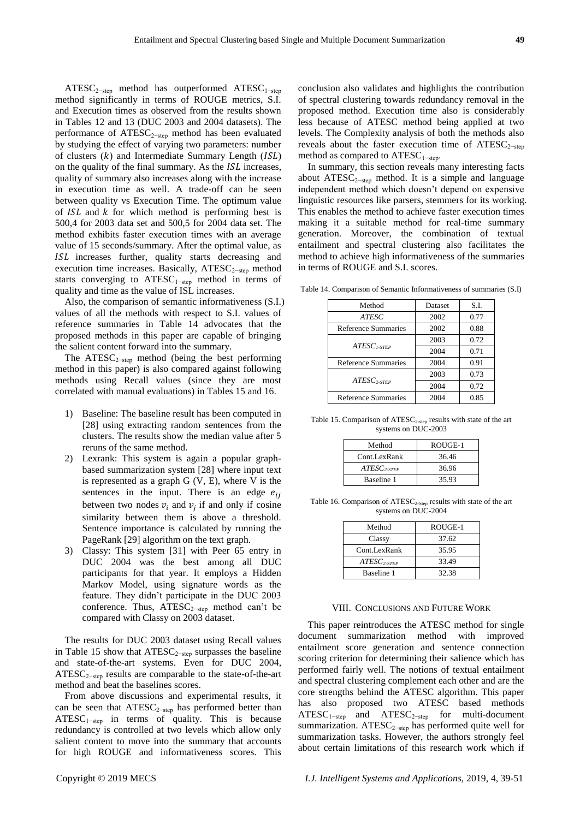ATESC<sub>2−step</sub> method has outperformed ATESC<sub>1−step</sub> method significantly in terms of ROUGE metrics, S.I. and Execution times as observed from the results shown in Tables 12 and 13 (DUC 2003 and 2004 datasets). The performance of ATESC<sub>2−step</sub> method has been evaluated by studying the effect of varying two parameters: number of clusters  $(k)$  and Intermediate Summary Length  $(ISL)$ on the quality of the final summary. As the  $ISL$  increases, quality of summary also increases along with the increase in execution time as well. A trade-off can be seen between quality vs Execution Time. The optimum value of  $ISL$  and  $k$  for which method is performing best is 500,4 for 2003 data set and 500,5 for 2004 data set. The method exhibits faster execution times with an average value of 15 seconds/summary. After the optimal value, as ISL increases further, quality starts decreasing and execution time increases. Basically,  $ATESC<sub>2-step</sub>$  method starts converging to  $ATESC_{1-step}$  method in terms of quality and time as the value of ISL increases.

Also, the comparison of semantic informativeness (S.I.) values of all the methods with respect to S.I. values of reference summaries in Table 14 advocates that the proposed methods in this paper are capable of bringing the salient content forward into the summary.

The ATESC<sub>2−step</sub> method (being the best performing method in this paper) is also compared against following methods using Recall values (since they are most correlated with manual evaluations) in Tables 15 and 16.

- 1) Baseline: The baseline result has been computed in [28] using extracting random sentences from the clusters. The results show the median value after 5 reruns of the same method.
- 2) Lexrank: This system is again a popular graphbased summarization system [28] where input text is represented as a graph G (V, E), where V is the sentences in the input. There is an edge  $e_{ij}$ between two nodes  $v_i$  and  $v_j$  if and only if cosine similarity between them is above a threshold. Sentence importance is calculated by running the PageRank [29] algorithm on the text graph.
- 3) Classy: This system [31] with Peer 65 entry in DUC 2004 was the best among all DUC participants for that year. It employs a Hidden Markov Model, using signature words as the feature. They didn"t participate in the DUC 2003 conference. Thus,  $ATESC_{2-step}$  method can't be compared with Classy on 2003 dataset.

The results for DUC 2003 dataset using Recall values in Table 15 show that  $\text{ATESC}_{2\text{-step}}$  surpasses the baseline and state-of-the-art systems. Even for DUC 2004, ATESC2−step results are comparable to the state-of-the-art method and beat the baselines scores.

From above discussions and experimental results, it can be seen that ATESC<sub>2−step</sub> has performed better than  $\textrm{ATESC}_{1-\textrm{step}}$  in terms of quality. This is because redundancy is controlled at two levels which allow only salient content to move into the summary that accounts for high ROUGE and informativeness scores. This

conclusion also validates and highlights the contribution of spectral clustering towards redundancy removal in the proposed method. Execution time also is considerably less because of ATESC method being applied at two levels. The Complexity analysis of both the methods also reveals about the faster execution time of  $ATESC_{2-sten}$ method as compared to ATESC<sub>1−step</sub>.

In summary, this section reveals many interesting facts about  $ATESC_{2-step}$  method. It is a simple and language independent method which doesn"t depend on expensive linguistic resources like parsers, stemmers for its working. This enables the method to achieve faster execution times making it a suitable method for real-time summary generation. Moreover, the combination of textual entailment and spectral clustering also facilitates the method to achieve high informativeness of the summaries in terms of ROUGE and S.I. scores.

Table 14. Comparison of Semantic Informativeness of summaries (S.I)

| Method                    | Dataset | S.I. |
|---------------------------|---------|------|
| <b>ATESC</b>              | 2002    | 0.77 |
| Reference Summaries       | 2002    | 0.88 |
| $ATESC$ <sub>1-STEP</sub> | 2003    | 0.72 |
|                           | 2004    | 0.71 |
| Reference Summaries       | 2004    | 0.91 |
| $ATESC$ <sub>2-STEP</sub> | 2003    | 0.73 |
|                           | 2004    | 0.72 |
| Reference Summaries       | 2004    | 0.85 |
|                           |         |      |

Table 15. Comparison of ATESC<sub>2-step</sub> results with state of the art systems on DUC-2003

| Method                  | ROUGE-1 |
|-------------------------|---------|
| Cont.LexRank            | 36.46   |
| $ATESC_{2\text{-}STEP}$ | 36.96   |
| Baseline 1              | 35.93   |

Table 16. Comparison of ATESC<sub>2-Step</sub> results with state of the art systems on DUC-2004

| Method                  | ROUGE-1 |
|-------------------------|---------|
| Classy                  | 37.62   |
| Cont.LexRank            | 35.95   |
| $ATESC_{2\text{-}STEP}$ | 33.49   |
| Baseline 1              | 32.38   |

#### VIII. CONCLUSIONS AND FUTURE WORK

This paper reintroduces the ATESC method for single document summarization method with improved entailment score generation and sentence connection scoring criterion for determining their salience which has performed fairly well. The notions of textual entailment and spectral clustering complement each other and are the core strengths behind the ATESC algorithm. This paper has also proposed two ATESC based methods  $\text{ATESC}_{1-\text{step}}$  and  $\text{ATESC}_{2-\text{step}}$  for multi-document summarization. ATESC<sub>2−step</sub> has performed quite well for summarization tasks. However, the authors strongly feel about certain limitations of this research work which if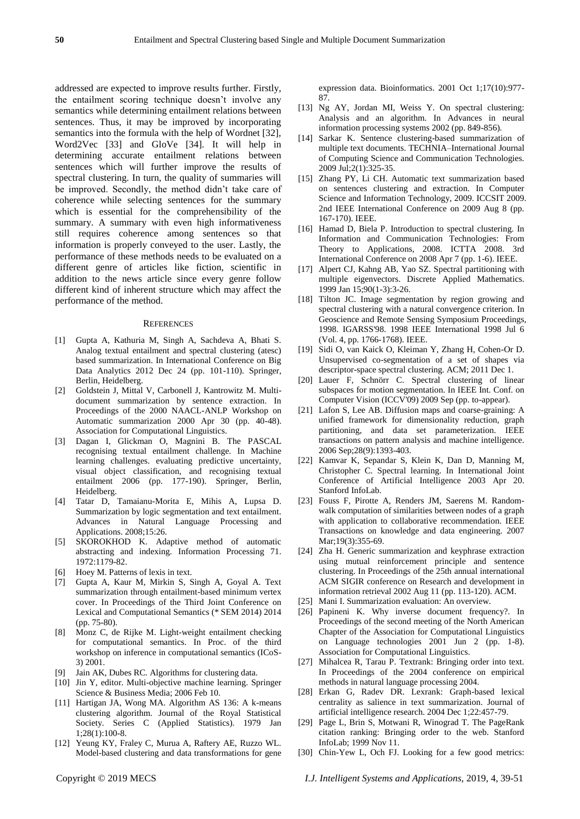addressed are expected to improve results further. Firstly, the entailment scoring technique doesn"t involve any semantics while determining entailment relations between sentences. Thus, it may be improved by incorporating semantics into the formula with the help of Wordnet [32], Word2Vec [33] and GloVe [34]. It will help in determining accurate entailment relations between sentences which will further improve the results of spectral clustering. In turn, the quality of summaries will be improved. Secondly, the method didn"t take care of coherence while selecting sentences for the summary which is essential for the comprehensibility of the summary. A summary with even high informativeness still requires coherence among sentences so that information is properly conveyed to the user. Lastly, the performance of these methods needs to be evaluated on a different genre of articles like fiction, scientific in addition to the news article since every genre follow different kind of inherent structure which may affect the performance of the method.

#### **REFERENCES**

- [1] Gupta A, Kathuria M, Singh A, Sachdeva A, Bhati S. Analog textual entailment and spectral clustering (atesc) based summarization. In International Conference on Big Data Analytics 2012 Dec 24 (pp. 101-110). Springer, Berlin, Heidelberg.
- [2] Goldstein J, Mittal V, Carbonell J, Kantrowitz M. Multidocument summarization by sentence extraction. In Proceedings of the 2000 NAACL-ANLP Workshop on Automatic summarization 2000 Apr 30 (pp. 40-48). Association for Computational Linguistics.
- [3] Dagan I, Glickman O, Magnini B. The PASCAL recognising textual entailment challenge. In Machine learning challenges. evaluating predictive uncertainty, visual object classification, and recognising textual entailment 2006 (pp. 177-190). Springer, Berlin, Heidelberg.
- [4] Tatar D, Tamaianu-Morita E, Mihis A, Lupsa D. Summarization by logic segmentation and text entailment. Advances in Natural Language Processing and Applications. 2008;15:26.
- [5] SKOROKHOD K. Adaptive method of automatic abstracting and indexing. Information Processing 71. 1972:1179-82.
- [6] Hoey M. Patterns of lexis in text.
- [7] Gupta A, Kaur M, Mirkin S, Singh A, Goyal A. Text summarization through entailment-based minimum vertex cover. In Proceedings of the Third Joint Conference on Lexical and Computational Semantics (\* SEM 2014) 2014 (pp. 75-80).
- [8] Monz C, de Rijke M. Light-weight entailment checking for computational semantics. In Proc. of the third workshop on inference in computational semantics (ICoS-3) 2001.
- [9] Jain AK, Dubes RC. Algorithms for clustering data.
- [10] Jin Y, editor. Multi-objective machine learning. Springer Science & Business Media; 2006 Feb 10.
- [11] Hartigan JA, Wong MA. Algorithm AS 136: A k-means clustering algorithm. Journal of the Royal Statistical Society. Series C (Applied Statistics). 1979 Jan 1;28(1):100-8.
- [12] Yeung KY, Fraley C, Murua A, Raftery AE, Ruzzo WL. Model-based clustering and data transformations for gene

expression data. Bioinformatics. 2001 Oct 1;17(10):977- 87.

- [13] Ng AY, Jordan MI, Weiss Y. On spectral clustering: Analysis and an algorithm. In Advances in neural information processing systems 2002 (pp. 849-856).
- [14] Sarkar K. Sentence clustering-based summarization of multiple text documents. TECHNIA–International Journal of Computing Science and Communication Technologies. 2009 Jul;2(1):325-35.
- [15] Zhang PY, Li CH. Automatic text summarization based on sentences clustering and extraction. In Computer Science and Information Technology, 2009. ICCSIT 2009. 2nd IEEE International Conference on 2009 Aug 8 (pp. 167-170). IEEE.
- [16] Hamad D, Biela P. Introduction to spectral clustering. In Information and Communication Technologies: From Theory to Applications, 2008. ICTTA 2008. 3rd International Conference on 2008 Apr 7 (pp. 1-6). IEEE.
- [17] Alpert CJ, Kahng AB, Yao SZ. Spectral partitioning with multiple eigenvectors. Discrete Applied Mathematics. 1999 Jan 15;90(1-3):3-26.
- [18] Tilton JC. Image segmentation by region growing and spectral clustering with a natural convergence criterion. In Geoscience and Remote Sensing Symposium Proceedings, 1998. IGARSS'98. 1998 IEEE International 1998 Jul 6 (Vol. 4, pp. 1766-1768). IEEE.
- [19] Sidi O, van Kaick O, Kleiman Y, Zhang H, Cohen-Or D. Unsupervised co-segmentation of a set of shapes via descriptor-space spectral clustering. ACM; 2011 Dec 1.
- [20] Lauer F, Schnörr C. Spectral clustering of linear subspaces for motion segmentation. In IEEE Int. Conf. on Computer Vision (ICCV'09) 2009 Sep (pp. to-appear).
- [21] Lafon S, Lee AB. Diffusion maps and coarse-graining: A unified framework for dimensionality reduction, graph partitioning, and data set parameterization. IEEE transactions on pattern analysis and machine intelligence. 2006 Sep;28(9):1393-403.
- [22] Kamvar K, Sepandar S, Klein K, Dan D, Manning M, Christopher C. Spectral learning. In International Joint Conference of Artificial Intelligence 2003 Apr 20. Stanford InfoLab.
- [23] Fouss F, Pirotte A, Renders JM, Saerens M. Randomwalk computation of similarities between nodes of a graph with application to collaborative recommendation. IEEE Transactions on knowledge and data engineering. 2007 Mar;19(3):355-69.
- [24] Zha H. Generic summarization and keyphrase extraction using mutual reinforcement principle and sentence clustering. In Proceedings of the 25th annual international ACM SIGIR conference on Research and development in information retrieval 2002 Aug 11 (pp. 113-120). ACM.
- [25] Mani I. Summarization evaluation: An overview.
- [26] Papineni K. Why inverse document frequency?. In Proceedings of the second meeting of the North American Chapter of the Association for Computational Linguistics on Language technologies 2001 Jun 2 (pp. 1-8). Association for Computational Linguistics.
- [27] Mihalcea R, Tarau P. Textrank: Bringing order into text. In Proceedings of the 2004 conference on empirical methods in natural language processing 2004.
- [28] Erkan G, Radev DR. Lexrank: Graph-based lexical centrality as salience in text summarization. Journal of artificial intelligence research. 2004 Dec 1;22:457-79.
- [29] Page L, Brin S, Motwani R, Winograd T. The PageRank citation ranking: Bringing order to the web. Stanford InfoLab; 1999 Nov 11.
- [30] Chin-Yew L, Och FJ. Looking for a few good metrics:

Copyright © 2019 MECS *I.J. Intelligent Systems and Applications,* 2019, 4, 39-51